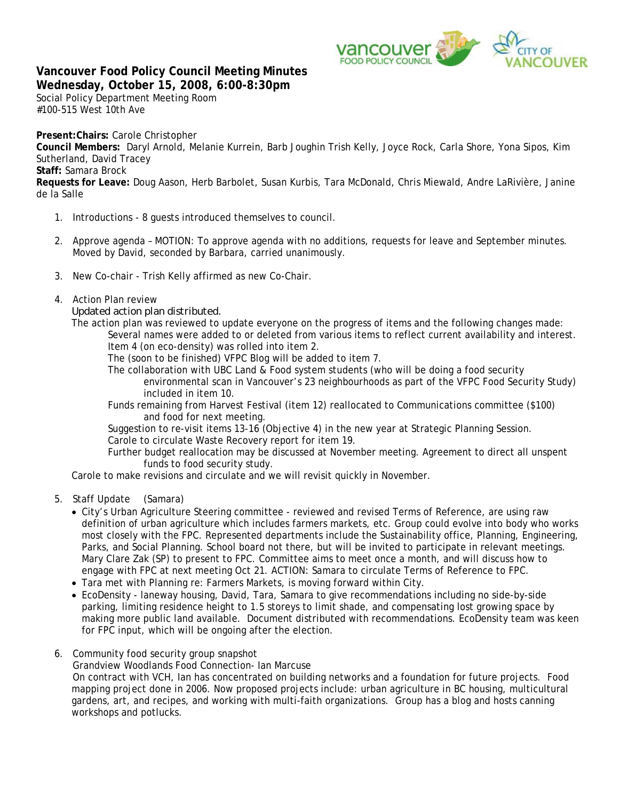

## **Vancouver Food Policy Council Meeting Minutes Wednesday, October 15, 2008, 6:00-8:30pm**

Social Policy Department Meeting Room #100-515 West 10th Ave

**Present:Chairs:** Carole Christopher

**Council Members:** Daryl Arnold, Melanie Kurrein, Barb Joughin Trish Kelly, Joyce Rock, Carla Shore, Yona Sipos, Kim Sutherland, David Tracey

**Staff:** Samara Brock

**Requests for Leave:** Doug Aason, Herb Barbolet, Susan Kurbis, Tara McDonald, Chris Miewald, Andre LaRivière, Janine de la Salle

- 1. Introductions 8 guests introduced themselves to council.
- 2. Approve agenda MOTION: To approve agenda with no additions, requests for leave and September minutes. Moved by David, seconded by Barbara, carried unanimously.
- 3. New Co-chair Trish Kelly affirmed as new Co-Chair.
- 4. Action Plan review

*Updated action plan distributed.* 

The action plan was reviewed to update everyone on the progress of items and the following changes made: Several names were added to or deleted from various items to reflect current availability and interest. Item 4 (on eco-density) was rolled into item 2.

The (soon to be finished) VFPC Blog will be added to item 7.

- The collaboration with UBC Land & Food system students (who will be doing a food security environmental scan in Vancouver's 23 neighbourhoods as part of the VFPC Food Security Study) included in item 10.
- Funds remaining from Harvest Festival (item 12) reallocated to Communications committee (\$100) and food for next meeting.

 Suggestion to re-visit items 13-16 (Objective 4) in the new year at Strategic Planning Session. Carole to circulate Waste Recovery report for item 19.

 Further budget reallocation may be discussed at November meeting. Agreement to direct all unspent funds to food security study.

Carole to make revisions and circulate and we will revisit quickly in November.

- 5. Staff Update (Samara)
	- City's Urban Agriculture Steering committee reviewed and revised Terms of Reference, are using raw definition of urban agriculture which includes farmers markets, etc. Group could evolve into body who works most closely with the FPC. Represented departments include the Sustainability office, Planning, Engineering, Parks, and Social Planning. School board not there, but will be invited to participate in relevant meetings. Mary Clare Zak (SP) to present to FPC. Committee aims to meet once a month, and will discuss how to engage with FPC at next meeting Oct 21. ACTION: Samara to circulate Terms of Reference to FPC.
	- Tara met with Planning re: Farmers Markets, is moving forward within City.
	- EcoDensity laneway housing, David, Tara, Samara to give recommendations including no side-by-side parking, limiting residence height to 1.5 storeys to limit shade, and compensating lost growing space by making more public land available. Document distributed with recommendations. EcoDensity team was keen for FPC input, which will be ongoing after the election.
- 6. Community food security group snapshot

Grandview Woodlands Food Connection- Ian Marcuse

On contract with VCH, Ian has concentrated on building networks and a foundation for future projects. Food mapping project done in 2006. Now proposed projects include: urban agriculture in BC housing, multicultural gardens, art, and recipes, and working with multi-faith organizations. Group has a blog and hosts canning workshops and potlucks.